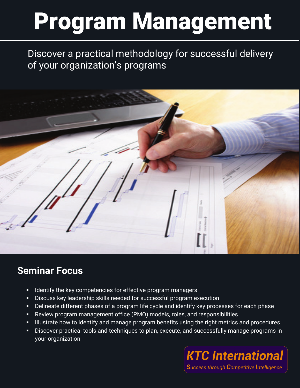Discover a practical methodology for successful delivery of your organization's programs



# **Seminar Focus**

- Identify the key competencies for effective program managers
- Discuss key leadership skills needed for successful program execution
- Delineate different phases of a program life cycle and identify key processes for each phase
- Review program management office (PMO) models, roles, and responsibilities
- Illustrate how to identify and manage program benefits using the right metrics and procedures
- **Discover practical tools and techniques to plan, execute, and successfully manage programs in** your organization

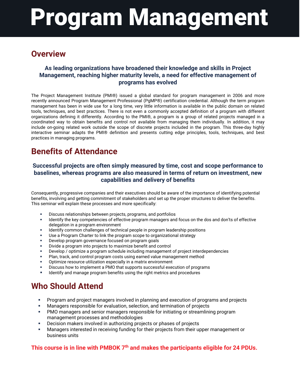### **Overview**

#### **As leading organizations have broadened their knowledge and skills in Project Management, reaching higher maturity levels, a need for effective management of programs has evolved**

The Project Management Institute (PMI®) issued a global standard for program management in 2006 and more recently announced Program Management Professional (PgMP®) certification credential. Although the term program management has been in wide use for a long time, very little information is available in the public domain on related tools, techniques, and best practices. There is not even a commonly accepted definition of a program with different organizations defining it differently. According to the PMI®, a program is a group of related projects managed in a coordinated way to obtain benefits and control not available from managing them individually. In addition, it may include on-going related work outside the scope of discrete projects included in the program. This three-day highly interactive seminar adapts the PMI® definition and presents cutting edge principles, tools, techniques, and best practices in managing programs.

### **Benefits of Attendance**

#### **Successful projects are often simply measured by time, cost and scope performance to baselines, whereas programs are also measured in terms of return on investment, new capabilities and delivery of benefits**

Consequently, progressive companies and their executives should be aware of the importance of identifying potential benefits, involving and getting commitment of stakeholders and set up the proper structures to deliver the benefits. This seminar will explain these processes and more specifically:

- Discuss relationships between projects, programs, and portfolios
- **IDENTIFY 1** Identify the key competencies of effective program managers and focus on the dos and don'ts of effective delegation in a program environment
- Identify common challenges of technical people in program leadership positions
- Use a Program Charter to link the program scope to organizational strategy
- Develop program governance focused on program goals
- Divide a program into projects to maximize benefit and control
- Develop / optimize a program schedule including management of project interdependencies
- Plan, track, and control program costs using earned value management method
- Optimize resource utilization especially in a matrix environment
- Discuss how to implement a PMO that supports successful execution of programs
- Identify and manage program benefits using the right metrics and procedures

### **Who Should Attend**

- Program and project managers involved in planning and execution of programs and projects
- Managers responsible for evaluation, selection, and termination of projects
- PMO managers and senior managers responsible for initiating or streamlining program management processes and methodologies
- Decision makers involved in authorizing projects or phases of projects
- Managers interested in receiving funding for their projects from their upper management or business units

#### **This course is in line with PMBOK**  $7<sup>th</sup>$  and makes the participants eligible for 24 PDUs.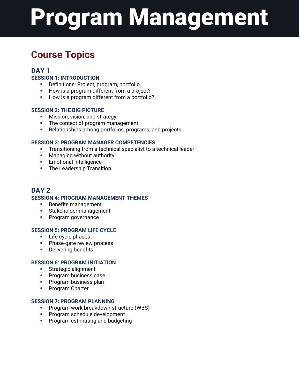# **Course Topics**

#### **DAY 1**

#### **SESSION 1: INTRODUCTION**

- Definitions: Project, program, portfolio
- How is a program different from a project?
- How is a program different from a portfolio?

#### **SESSION 2: THE BIG PICTURE**

- **Mission, vision, and strategy**
- The context of program management
- Relationships among portfolios, programs, and projects

#### **SESSION 3: PROGRAM MANAGER COMPETENCIES**

- **Transitioning from a technical specialist to a technical leader**
- **Managing without authority**
- **Emotional intelligence**
- **The Leadership Transition**

#### **DAY 2 SESSION 4: PROGRAM MANAGEMENT THEMES**

- **Benefits management**
- **Stakeholder management**
- **Program governance**

#### **SESSION 5: PROGRAM LIFE CYCLE**

- **Life cycle phases**
- **Phase-gate review process**
- **Delivering benefits**

#### **SESSION 6: PROGRAM INITIATION**

- **Strategic alignment**
- **Program business case**
- **Program business plan**
- **Program Charter**

#### **SESSION 7: PROGRAM PLANNING**

- **Program work breakdown structure (WBS)**
- **Program schedule development**
- **Program estimating and budgeting**